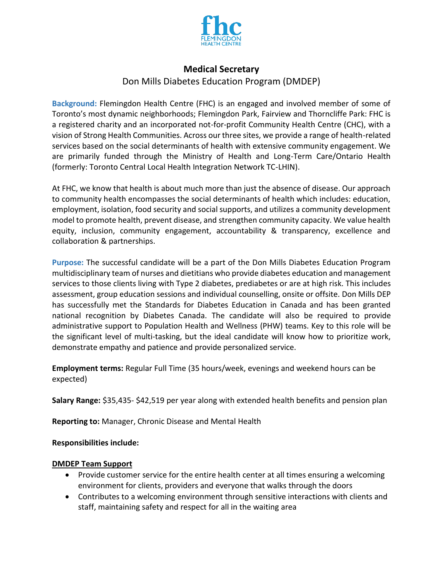

# **Medical Secretary**

# Don Mills Diabetes Education Program (DMDEP)

**Background:** Flemingdon Health Centre (FHC) is an engaged and involved member of some of Toronto's most dynamic neighborhoods; Flemingdon Park, Fairview and Thorncliffe Park: FHC is a registered charity and an incorporated not-for-profit Community Health Centre (CHC), with a vision of Strong Health Communities. Across our three sites, we provide a range of health-related services based on the social determinants of health with extensive community engagement. We are primarily funded through the Ministry of Health and Long-Term Care/Ontario Health (formerly: Toronto Central Local Health Integration Network TC-LHIN).

At FHC, we know that health is about much more than just the absence of disease. Our approach to community health encompasses the social determinants of health which includes: education, employment, isolation, food security and social supports, and utilizes a community development model to promote health, prevent disease, and strengthen community capacity. We value health equity, inclusion, community engagement, accountability & transparency, excellence and collaboration & partnerships.

**Purpose:** The successful candidate will be a part of the Don Mills Diabetes Education Program multidisciplinary team of nurses and dietitians who provide diabetes education and management services to those clients living with Type 2 diabetes, prediabetes or are at high risk. This includes assessment, group education sessions and individual counselling, onsite or offsite. Don Mills DEP has successfully met the Standards for Diabetes Education in Canada and has been granted national recognition by Diabetes Canada. The candidate will also be required to provide administrative support to Population Health and Wellness (PHW) teams. Key to this role will be the significant level of multi-tasking, but the ideal candidate will know how to prioritize work, demonstrate empathy and patience and provide personalized service.

**Employment terms:** Regular Full Time (35 hours/week, evenings and weekend hours can be expected)

**Salary Range:** \$35,435- \$42,519 per year along with extended health benefits and pension plan

**Reporting to:** Manager, Chronic Disease and Mental Health

#### **Responsibilities include:**

#### **DMDEP Team Support**

- Provide customer service for the entire health center at all times ensuring a welcoming environment for clients, providers and everyone that walks through the doors
- Contributes to a welcoming environment through sensitive interactions with clients and staff, maintaining safety and respect for all in the waiting area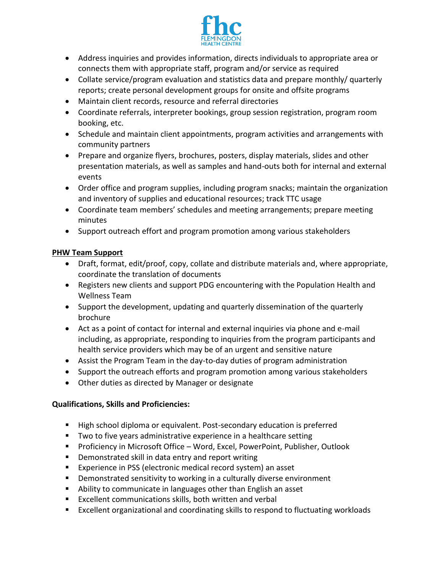

- Address inquiries and provides information, directs individuals to appropriate area or connects them with appropriate staff, program and/or service as required
- Collate service/program evaluation and statistics data and prepare monthly/ quarterly reports; create personal development groups for onsite and offsite programs
- Maintain client records, resource and referral directories
- Coordinate referrals, interpreter bookings, group session registration, program room booking, etc.
- Schedule and maintain client appointments, program activities and arrangements with community partners
- Prepare and organize flyers, brochures, posters, display materials, slides and other presentation materials, as well as samples and hand-outs both for internal and external events
- Order office and program supplies, including program snacks; maintain the organization and inventory of supplies and educational resources; track TTC usage
- Coordinate team members' schedules and meeting arrangements; prepare meeting minutes
- Support outreach effort and program promotion among various stakeholders

## **PHW Team Support**

- Draft, format, edit/proof, copy, collate and distribute materials and, where appropriate, coordinate the translation of documents
- Registers new clients and support PDG encountering with the Population Health and Wellness Team
- Support the development, updating and quarterly dissemination of the quarterly brochure
- Act as a point of contact for internal and external inquiries via phone and e-mail including, as appropriate, responding to inquiries from the program participants and health service providers which may be of an urgent and sensitive nature
- Assist the Program Team in the day-to-day duties of program administration
- Support the outreach efforts and program promotion among various stakeholders
- Other duties as directed by Manager or designate

## **Qualifications, Skills and Proficiencies:**

- High school diploma or equivalent. Post-secondary education is preferred
- Two to five years administrative experience in a healthcare setting
- Proficiency in Microsoft Office Word, Excel, PowerPoint, Publisher, Outlook
- Demonstrated skill in data entry and report writing
- Experience in PSS (electronic medical record system) an asset
- Demonstrated sensitivity to working in a culturally diverse environment
- Ability to communicate in languages other than English an asset
- Excellent communications skills, both written and verbal
- Excellent organizational and coordinating skills to respond to fluctuating workloads